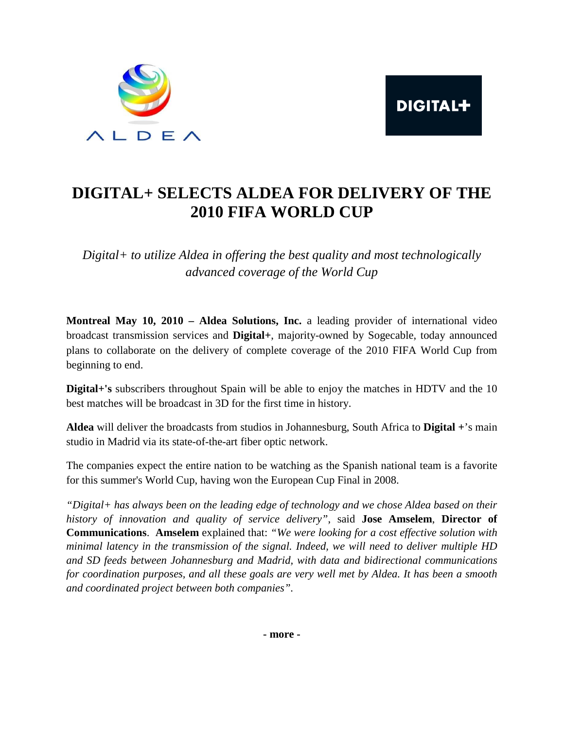



## **DIGITAL+ SELECTS ALDEA FOR DELIVERY OF THE 2010 FIFA WORLD CUP**

*Digital+ to utilize Aldea in offering the best quality and most technologically advanced coverage of the World Cup* 

**Montreal May 10, 2010 – Aldea Solutions, Inc.** a leading provider of international video broadcast transmission services and **Digital+**, majority-owned by Sogecable, today announced plans to collaborate on the delivery of complete coverage of the 2010 FIFA World Cup from beginning to end.

**Digital+'s** subscribers throughout Spain will be able to enjoy the matches in HDTV and the 10 best matches will be broadcast in 3D for the first time in history.

**Aldea** will deliver the broadcasts from studios in Johannesburg, South Africa to **Digital +**'s main studio in Madrid via its state-of-the-art fiber optic network.

The companies expect the entire nation to be watching as the Spanish national team is a favorite for this summer's World Cup, having won the European Cup Final in 2008.

*"Digital+ has always been on the leading edge of technology and we chose Aldea based on their history of innovation and quality of service delivery"*, said **Jose Amselem**, **Director of Communications**. **Amselem** explained that: *"We were looking for a cost effective solution with minimal latency in the transmission of the signal. Indeed, we will need to deliver multiple HD and SD feeds between Johannesburg and Madrid, with data and bidirectional communications for coordination purposes, and all these goals are very well met by Aldea. It has been a smooth and coordinated project between both companies".*

**- more -**